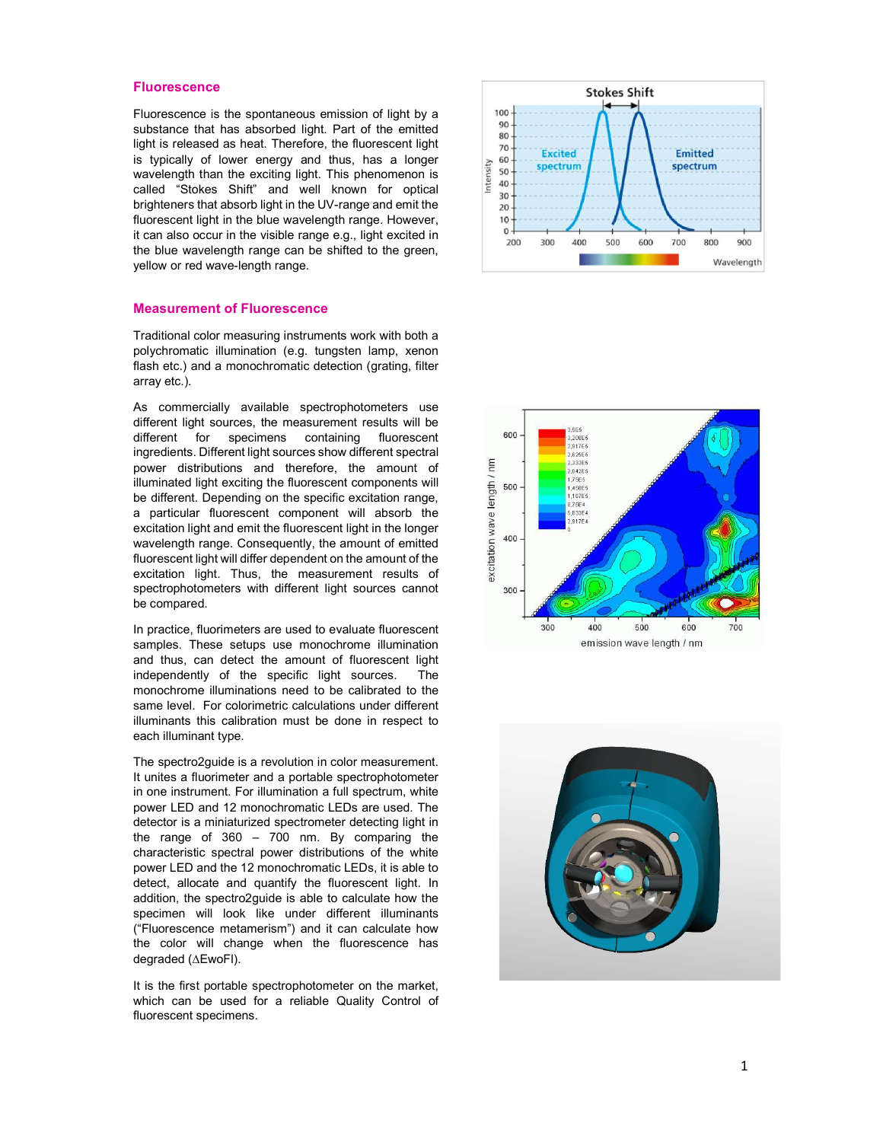#### **Fluorescence**

Fluorescence is the spontaneous emission of light by a substance that has absorbed light. Part of the emitted light is released as heat. Therefore, the fluorescent light is typically of lower energy and thus, has a longer wavelength than the exciting light. This phenomenon is called "Stokes Shift" and well known for optical brighteners that absorb light in the UV-range and emit the fluorescent light in the blue wavelength range. However, it can also occur in the visible range e.g., light excited in the blue wavelength range can be shifted to the green, yellow or red wave-length range.

#### Measurement of Fluorescence

Traditional color measuring instruments work with both a polychromatic illumination (e.g. tungsten lamp, xenon flash etc.) and a monochromatic detection (grating, filter array etc.).

As commercially available spectrophotometers use different light sources, the measurement results will be different for specimens containing fluorescent ingredients. Different light sources show different spectral power distributions and therefore, the amount of illuminated light exciting the fluorescent components will be different. Depending on the specific excitation range, a particular fluorescent component will absorb the excitation light and emit the fluorescent light in the longer wavelength range. Consequently, the amount of emitted fluorescent light will differ dependent on the amount of the excitation light. Thus, the measurement results of spectrophotometers with different light sources cannot be compared.

In practice, fluorimeters are used to evaluate fluorescent samples. These setups use monochrome illumination and thus, can detect the amount of fluorescent light independently of the specific light sources. The monochrome illuminations need to be calibrated to the same level. For colorimetric calculations under different illuminants this calibration must be done in respect to each illuminant type.

The spectro2guide is a revolution in color measurement. It unites a fluorimeter and a portable spectrophotometer in one instrument. For illumination a full spectrum, white power LED and 12 monochromatic LEDs are used. The detector is a miniaturized spectrometer detecting light in the range of 360 – 700 nm. By comparing the characteristic spectral power distributions of the white power LED and the 12 monochromatic LEDs, it is able to detect, allocate and quantify the fluorescent light. In addition, the spectro2guide is able to calculate how the specimen will look like under different illuminants ("Fluorescence metamerism") and it can calculate how the color will change when the fluorescence has degraded ( EwoFl).

It is the first portable spectrophotometer on the market, which can be used for a reliable Quality Control of fluorescent specimens.





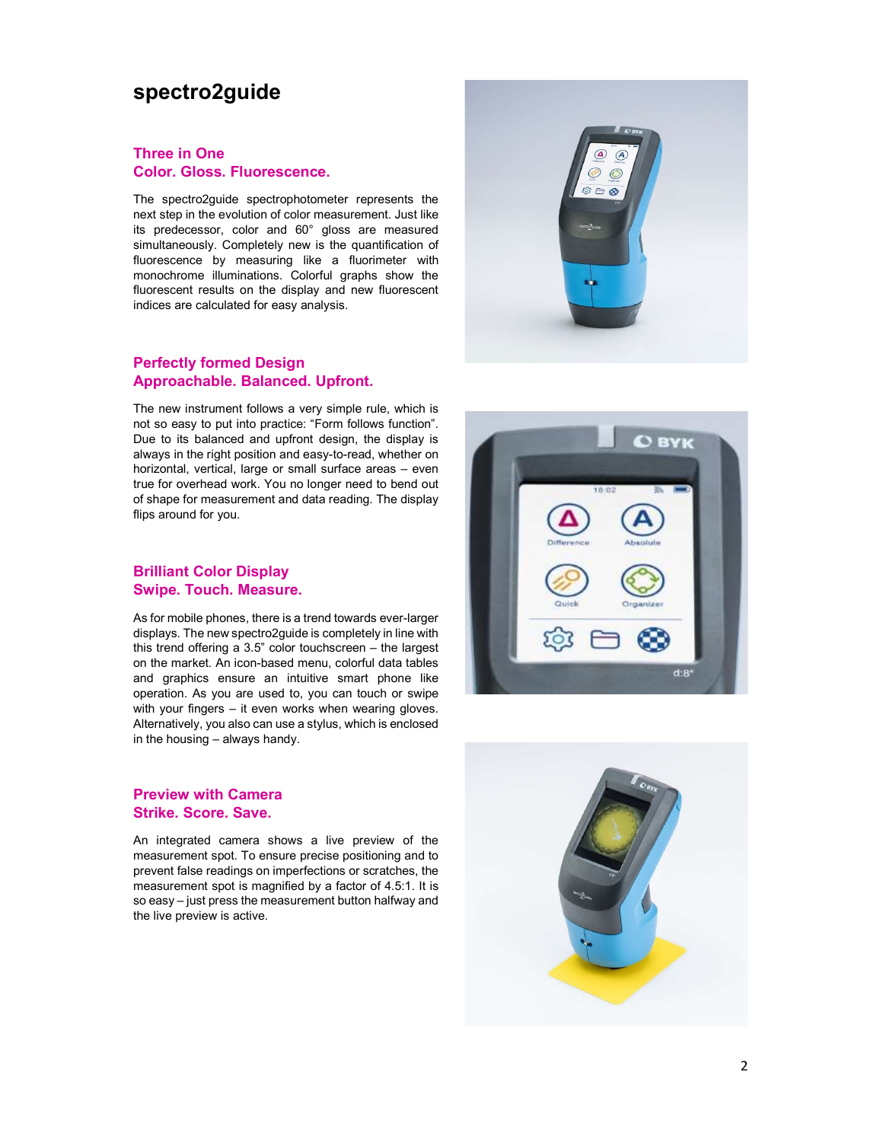# spectro2guide

#### Three in One Color. Gloss. Fluorescence.

The spectro2guide spectrophotometer represents the next step in the evolution of color measurement. Just like its predecessor, color and 60° gloss are measured simultaneously. Completely new is the quantification of fluorescence by measuring like a fluorimeter with monochrome illuminations. Colorful graphs show the fluorescent results on the display and new fluorescent indices are calculated for easy analysis.

#### Perfectly formed Design Approachable. Balanced. Upfront.

The new instrument follows a very simple rule, which is not so easy to put into practice: "Form follows function". Due to its balanced and upfront design, the display is always in the right position and easy-to-read, whether on horizontal, vertical, large or small surface areas – even true for overhead work. You no longer need to bend out of shape for measurement and data reading. The display flips around for you.

### Brilliant Color Display Swipe. Touch. Measure.

As for mobile phones, there is a trend towards ever-larger displays. The new spectro2guide is completely in line with this trend offering a 3.5" color touchscreen – the largest on the market. An icon-based menu, colorful data tables and graphics ensure an intuitive smart phone like operation. As you are used to, you can touch or swipe with your fingers – it even works when wearing gloves. Alternatively, you also can use a stylus, which is enclosed in the housing – always handy.

### Preview with Camera Strike. Score. Save.

An integrated camera shows a live preview of the measurement spot. To ensure precise positioning and to prevent false readings on imperfections or scratches, the measurement spot is magnified by a factor of 4.5:1. It is so easy – just press the measurement button halfway and the live preview is active.





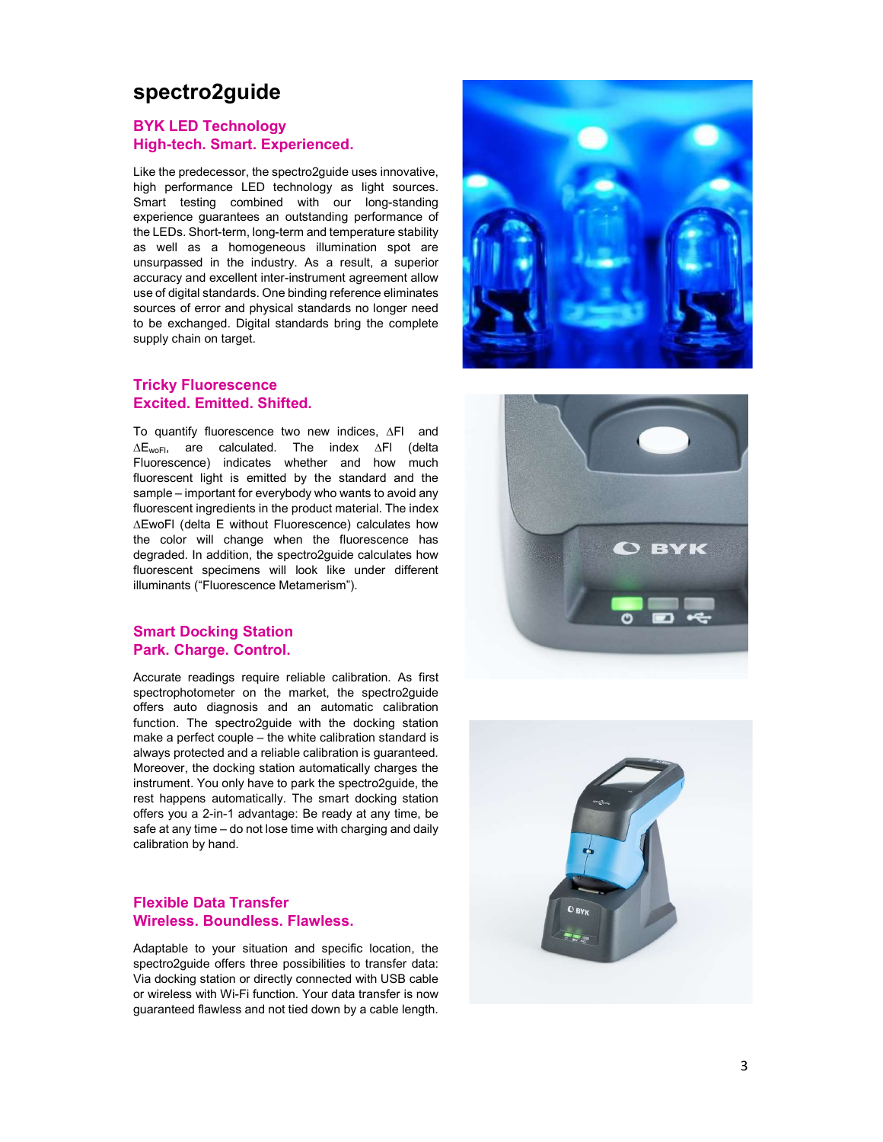# spectro2guide

### BYK LED Technology High-tech. Smart. Experienced.

Like the predecessor, the spectro2guide uses innovative, high performance LED technology as light sources. Smart testing combined with our long-standing experience guarantees an outstanding performance of the LEDs. Short-term, long-term and temperature stability as well as a homogeneous illumination spot are unsurpassed in the industry. As a result, a superior accuracy and excellent inter-instrument agreement allow use of digital standards. One binding reference eliminates sources of error and physical standards no longer need to be exchanged. Digital standards bring the complete supply chain on target.

#### Tricky Fluorescence Excited. Emitted. Shifted.

To quantify fluorescence two new indices, ∆Fl and  $\Delta E_{\text{woFI}}$ , are calculated. The index  $\Delta F$ I (delta Fluorescence) indicates whether and how much fluorescent light is emitted by the standard and the sample – important for everybody who wants to avoid any fluorescent ingredients in the product material. The index EwoFl (delta E without Fluorescence) calculates how the color will change when the fluorescence has degraded. In addition, the spectro2guide calculates how fluorescent specimens will look like under different illuminants ("Fluorescence Metamerism").

#### Smart Docking Station Park. Charge. Control.

Accurate readings require reliable calibration. As first spectrophotometer on the market, the spectro2guide offers auto diagnosis and an automatic calibration function. The spectro2guide with the docking station make a perfect couple – the white calibration standard is always protected and a reliable calibration is guaranteed. Moreover, the docking station automatically charges the instrument. You only have to park the spectro2guide, the rest happens automatically. The smart docking station offers you a 2-in-1 advantage: Be ready at any time, be safe at any time – do not lose time with charging and daily calibration by hand.

## Flexible Data Transfer Wireless. Boundless. Flawless.

Adaptable to your situation and specific location, the spectro2quide offers three possibilities to transfer data: Via docking station or directly connected with USB cable or wireless with Wi-Fi function. Your data transfer is now guaranteed flawless and not tied down by a cable length.





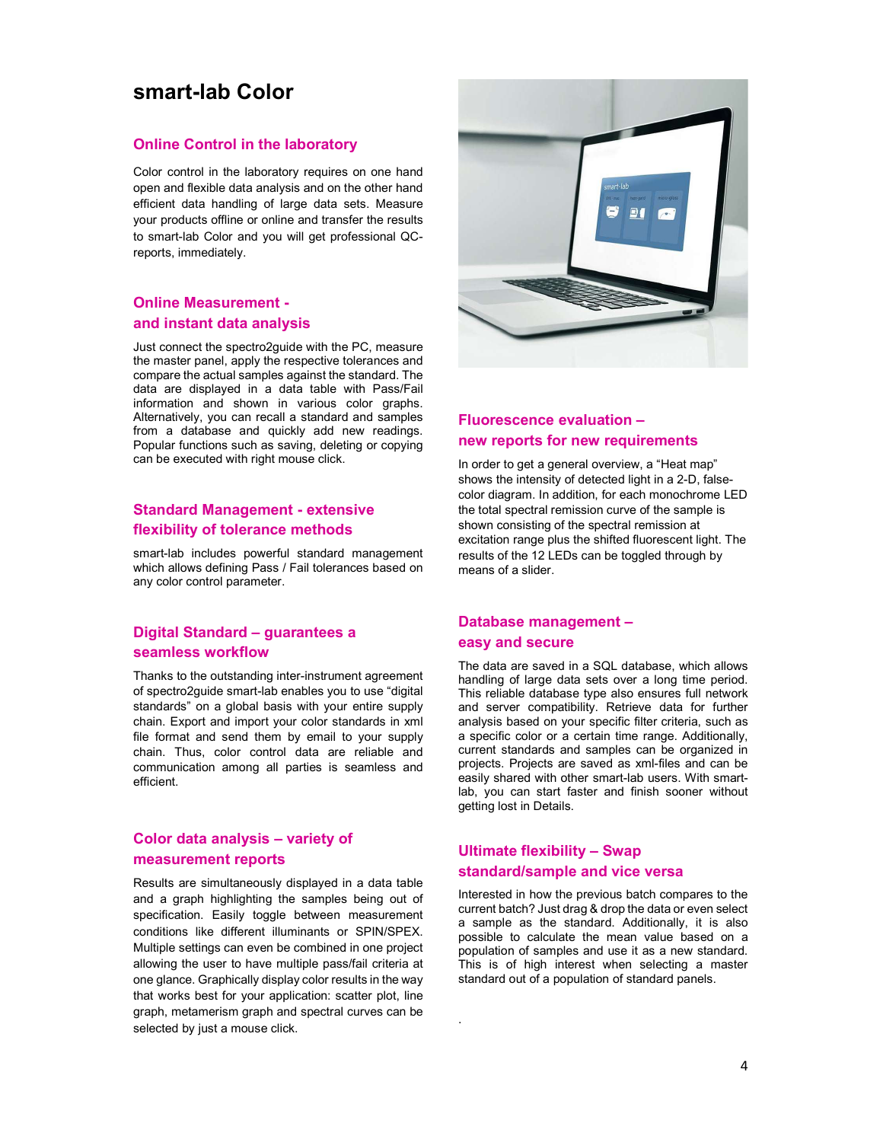# smart-lab Color

#### Online Control in the laboratory

Color control in the laboratory requires on one hand open and flexible data analysis and on the other hand efficient data handling of large data sets. Measure your products offline or online and transfer the results to smart-lab Color and you will get professional QCreports, immediately.

### Online Measurement and instant data analysis

Just connect the spectro2guide with the PC, measure the master panel, apply the respective tolerances and compare the actual samples against the standard. The data are displayed in a data table with Pass/Fail information and shown in various color graphs. Alternatively, you can recall a standard and samples from a database and quickly add new readings. Popular functions such as saving, deleting or copying can be executed with right mouse click.

# Standard Management - extensive flexibility of tolerance methods

smart-lab includes powerful standard management which allows defining Pass / Fail tolerances based on any color control parameter.

# Digital Standard – guarantees a seamless workflow

Thanks to the outstanding inter-instrument agreement of spectro2guide smart-lab enables you to use "digital standards" on a global basis with your entire supply chain. Export and import your color standards in xml file format and send them by email to your supply chain. Thus, color control data are reliable and communication among all parties is seamless and efficient.

# Color data analysis – variety of measurement reports

Results are simultaneously displayed in a data table and a graph highlighting the samples being out of specification. Easily toggle between measurement conditions like different illuminants or SPIN/SPEX. Multiple settings can even be combined in one project allowing the user to have multiple pass/fail criteria at one glance. Graphically display color results in the way that works best for your application: scatter plot, line graph, metamerism graph and spectral curves can be selected by just a mouse click.



## Fluorescence evaluation – new reports for new requirements

In order to get a general overview, a "Heat map" shows the intensity of detected light in a 2-D, falsecolor diagram. In addition, for each monochrome LED the total spectral remission curve of the sample is shown consisting of the spectral remission at excitation range plus the shifted fluorescent light. The results of the 12 LEDs can be toggled through by means of a slider.

#### Database management – easy and secure

The data are saved in a SQL database, which allows handling of large data sets over a long time period. This reliable database type also ensures full network and server compatibility. Retrieve data for further analysis based on your specific filter criteria, such as a specific color or a certain time range. Additionally, current standards and samples can be organized in projects. Projects are saved as xml-files and can be easily shared with other smart-lab users. With smartlab, you can start faster and finish sooner without getting lost in Details.

### Ultimate flexibility – Swap standard/sample and vice versa

.

Interested in how the previous batch compares to the current batch? Just drag & drop the data or even select a sample as the standard. Additionally, it is also possible to calculate the mean value based on a population of samples and use it as a new standard. This is of high interest when selecting a master standard out of a population of standard panels.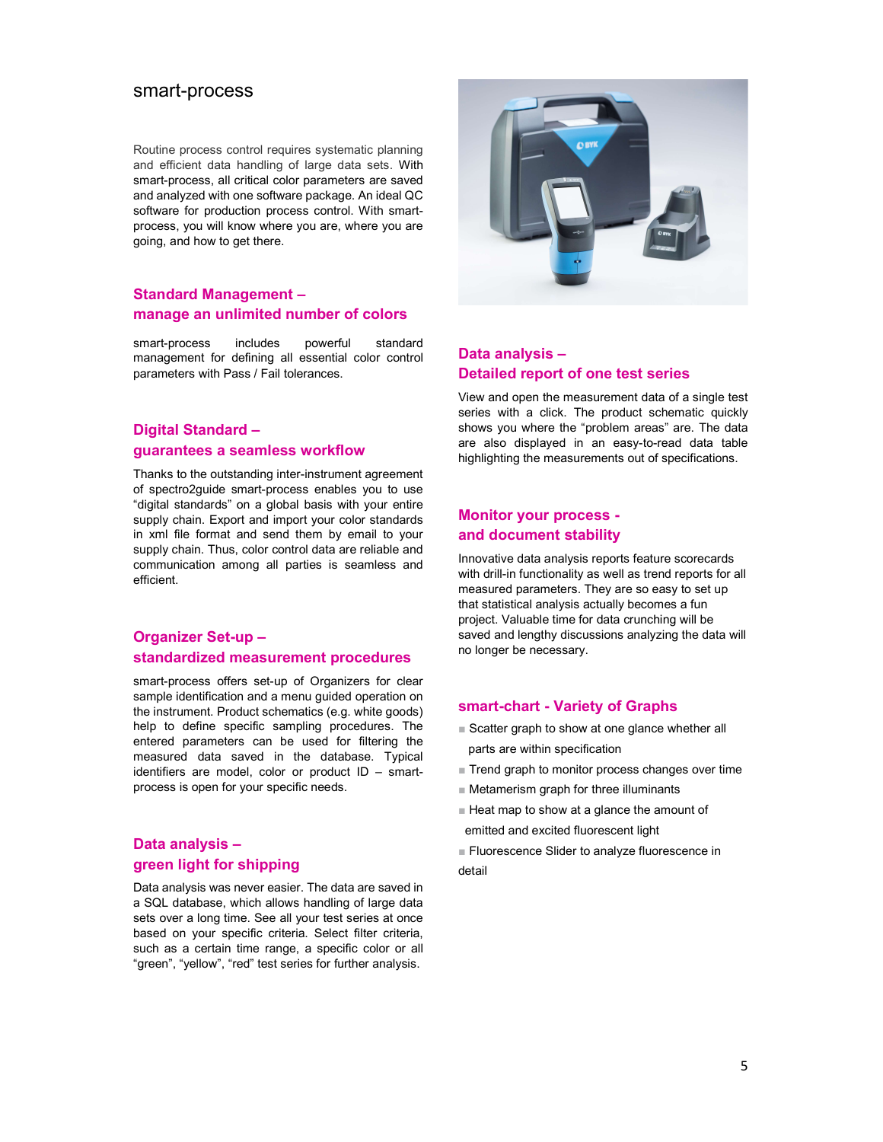## smart-process

Routine process control requires systematic planning and efficient data handling of large data sets. With smart-process, all critical color parameters are saved and analyzed with one software package. An ideal QC software for production process control. With smartprocess, you will know where you are, where you are going, and how to get there.

#### Standard Management – manage an unlimited number of colors

smart-process includes powerful standard management for defining all essential color control parameters with Pass / Fail tolerances.

## Digital Standard – guarantees a seamless workflow

Thanks to the outstanding inter-instrument agreement of spectro2guide smart-process enables you to use "digital standards" on a global basis with your entire supply chain. Export and import your color standards in xml file format and send them by email to your supply chain. Thus, color control data are reliable and communication among all parties is seamless and efficient.

# Organizer Set-up – standardized measurement procedures

smart-process offers set-up of Organizers for clear sample identification and a menu guided operation on the instrument. Product schematics (e.g. white goods) help to define specific sampling procedures. The entered parameters can be used for filtering the measured data saved in the database. Typical identifiers are model, color or product ID – smartprocess is open for your specific needs.

# Data analysis – green light for shipping

Data analysis was never easier. The data are saved in a SQL database, which allows handling of large data sets over a long time. See all your test series at once based on your specific criteria. Select filter criteria, such as a certain time range, a specific color or all "green", "yellow", "red" test series for further analysis.



# Data analysis – Detailed report of one test series

View and open the measurement data of a single test series with a click. The product schematic quickly shows you where the "problem areas" are. The data are also displayed in an easy-to-read data table highlighting the measurements out of specifications.

# Monitor your process and document stability

Innovative data analysis reports feature scorecards with drill-in functionality as well as trend reports for all measured parameters. They are so easy to set up that statistical analysis actually becomes a fun project. Valuable time for data crunching will be saved and lengthy discussions analyzing the data will no longer be necessary.

#### smart-chart - Variety of Graphs

- Scatter graph to show at one glance whether all parts are within specification
- Trend graph to monitor process changes over time
- Metamerism graph for three illuminants
- Heat map to show at a glance the amount of emitted and excited fluorescent light
- 
- Fluorescence Slider to analyze fluorescence in detail